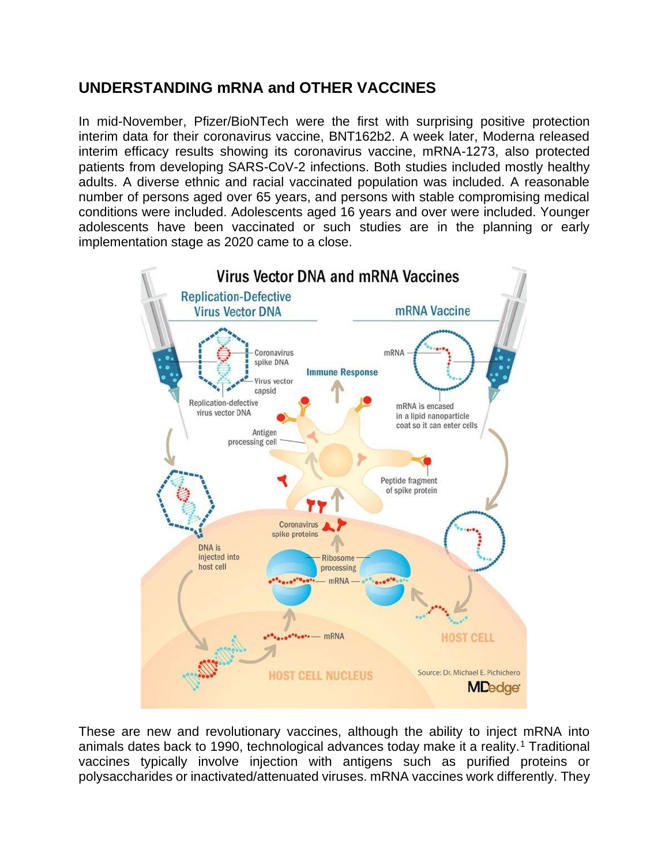## **UNDERSTANDING mRNA and OTHER VACCINES**

In mid-November, Pfizer/BioNTech were the first with surprising positive protection interim data for their coronavirus vaccine, BNT162b2. A week later, Moderna released interim efficacy results showing its coronavirus vaccine, mRNA-1273, also protected patients from developing SARS-CoV-2 infections. Both studies included mostly healthy adults. A diverse ethnic and racial vaccinated population was included. A reasonable number of persons aged over 65 years, and persons with stable compromising medical conditions were included. Adolescents aged 16 years and over were included. Younger adolescents have been vaccinated or such studies are in the planning or early implementation stage as 2020 came to a close.



These are new and revolutionary vaccines, although the ability to inject mRNA into animals dates back to 1990, technological advances today make it a reality.<sup>1</sup> Traditional vaccines typically involve injection with antigens such as purified proteins or polysaccharides or inactivated/attenuated viruses. mRNA vaccines work differently. They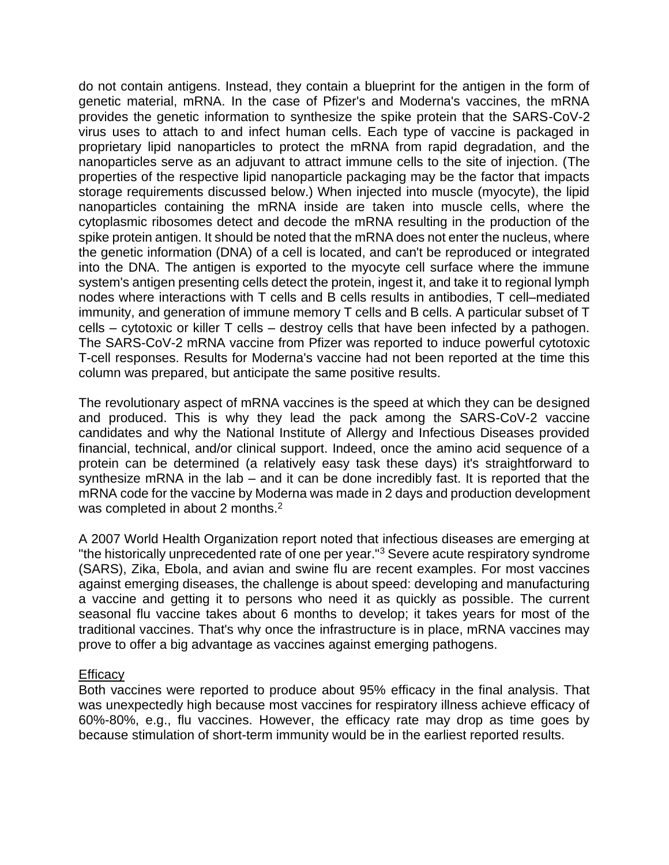do not contain antigens. Instead, they contain a blueprint for the antigen in the form of genetic material, mRNA. In the case of Pfizer's and Moderna's vaccines, the mRNA provides the genetic information to synthesize the spike protein that the SARS-CoV-2 virus uses to attach to and infect human cells. Each type of vaccine is packaged in proprietary lipid nanoparticles to protect the mRNA from rapid degradation, and the nanoparticles serve as an adjuvant to attract immune cells to the site of injection. (The properties of the respective lipid nanoparticle packaging may be the factor that impacts storage requirements discussed below.) When injected into muscle (myocyte), the lipid nanoparticles containing the mRNA inside are taken into muscle cells, where the cytoplasmic ribosomes detect and decode the mRNA resulting in the production of the spike protein antigen. It should be noted that the mRNA does not enter the nucleus, where the genetic information (DNA) of a cell is located, and can't be reproduced or integrated into the DNA. The antigen is exported to the myocyte cell surface where the immune system's antigen presenting cells detect the protein, ingest it, and take it to regional lymph nodes where interactions with T cells and B cells results in antibodies, T cell–mediated immunity, and generation of immune memory T cells and B cells. A particular subset of T cells – cytotoxic or killer T cells – destroy cells that have been infected by a pathogen. The SARS-CoV-2 mRNA vaccine from Pfizer was reported to induce powerful cytotoxic T-cell responses. Results for Moderna's vaccine had not been reported at the time this column was prepared, but anticipate the same positive results.

The revolutionary aspect of mRNA vaccines is the speed at which they can be designed and produced. This is why they lead the pack among the SARS-CoV-2 vaccine candidates and why the National Institute of Allergy and Infectious Diseases provided financial, technical, and/or clinical support. Indeed, once the amino acid sequence of a protein can be determined (a relatively easy task these days) it's straightforward to synthesize mRNA in the lab – and it can be done incredibly fast. It is reported that the mRNA code for the vaccine by Moderna was made in 2 days and production development was completed in about 2 months.<sup>2</sup>

A 2007 World Health Organization report noted that infectious diseases are emerging at "the historically unprecedented rate of one per year."<sup>3</sup> Severe acute respiratory syndrome (SARS), Zika, Ebola, and avian and swine flu are recent examples. For most vaccines against emerging diseases, the challenge is about speed: developing and manufacturing a vaccine and getting it to persons who need it as quickly as possible. The current seasonal flu vaccine takes about 6 months to develop; it takes years for most of the traditional vaccines. That's why once the infrastructure is in place, mRNA vaccines may prove to offer a big advantage as vaccines against emerging pathogens.

## **Efficacy**

Both vaccines were reported to produce about 95% efficacy in the final analysis. That was unexpectedly high because most vaccines for respiratory illness achieve efficacy of 60%-80%, e.g., flu vaccines. However, the efficacy rate may drop as time goes by because stimulation of short-term immunity would be in the earliest reported results.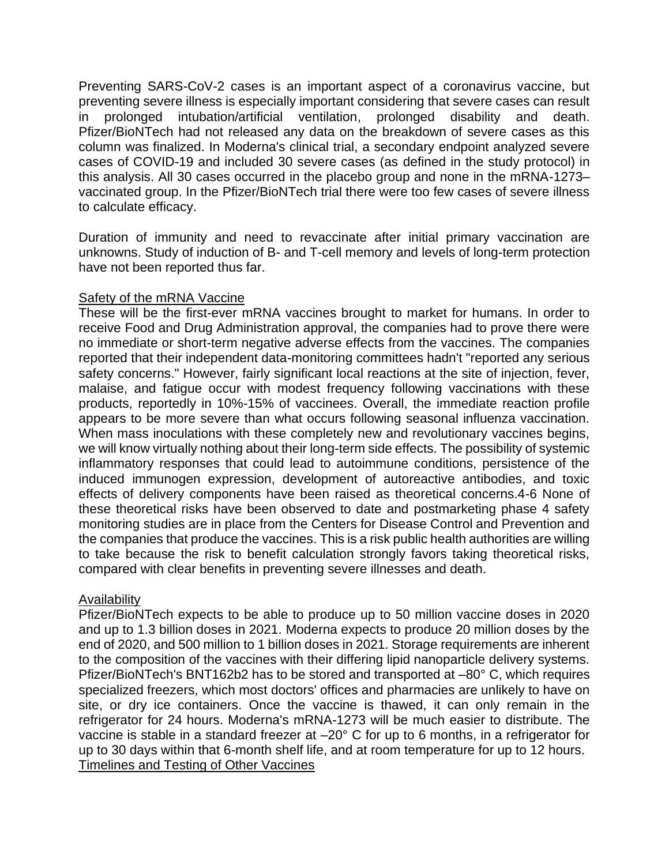Preventing SARS-CoV-2 cases is an important aspect of a coronavirus vaccine, but preventing severe illness is especially important considering that severe cases can result in prolonged intubation/artificial ventilation, prolonged disability and death. Pfizer/BioNTech had not released any data on the breakdown of severe cases as this column was finalized. In Moderna's clinical trial, a secondary endpoint analyzed severe cases of COVID-19 and included 30 severe cases (as defined in the study protocol) in this analysis. All 30 cases occurred in the placebo group and none in the mRNA-1273– vaccinated group. In the Pfizer/BioNTech trial there were too few cases of severe illness to calculate efficacy.

Duration of immunity and need to revaccinate after initial primary vaccination are unknowns. Study of induction of B- and T-cell memory and levels of long-term protection have not been reported thus far.

## Safety of the mRNA Vaccine

These will be the first-ever mRNA vaccines brought to market for humans. In order to receive Food and Drug Administration approval, the companies had to prove there were no immediate or short-term negative adverse effects from the vaccines. The companies reported that their independent data-monitoring committees hadn't "reported any serious safety concerns." However, fairly significant local reactions at the site of injection, fever, malaise, and fatigue occur with modest frequency following vaccinations with these products, reportedly in 10%-15% of vaccinees. Overall, the immediate reaction profile appears to be more severe than what occurs following seasonal influenza vaccination. When mass inoculations with these completely new and revolutionary vaccines begins, we will know virtually nothing about their long-term side effects. The possibility of systemic inflammatory responses that could lead to autoimmune conditions, persistence of the induced immunogen expression, development of autoreactive antibodies, and toxic effects of delivery components have been raised as theoretical concerns.4-6 None of these theoretical risks have been observed to date and postmarketing phase 4 safety monitoring studies are in place from the Centers for Disease Control and Prevention and the companies that produce the vaccines. This is a risk public health authorities are willing to take because the risk to benefit calculation strongly favors taking theoretical risks, compared with clear benefits in preventing severe illnesses and death.

## Availability

Pfizer/BioNTech expects to be able to produce up to 50 million vaccine doses in 2020 and up to 1.3 billion doses in 2021. Moderna expects to produce 20 million doses by the end of 2020, and 500 million to 1 billion doses in 2021. Storage requirements are inherent to the composition of the vaccines with their differing lipid nanoparticle delivery systems. Pfizer/BioNTech's BNT162b2 has to be stored and transported at –80° C, which requires specialized freezers, which most doctors' offices and pharmacies are unlikely to have on site, or dry ice containers. Once the vaccine is thawed, it can only remain in the refrigerator for 24 hours. Moderna's mRNA-1273 will be much easier to distribute. The vaccine is stable in a standard freezer at –20° C for up to 6 months, in a refrigerator for up to 30 days within that 6-month shelf life, and at room temperature for up to 12 hours. Timelines and Testing of Other Vaccines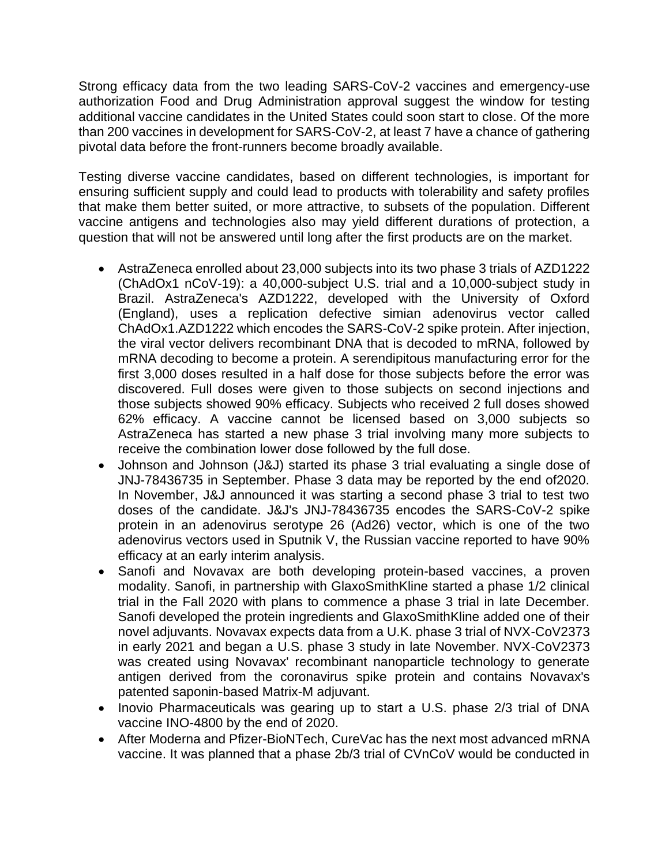Strong efficacy data from the two leading SARS-CoV-2 vaccines and emergency-use authorization Food and Drug Administration approval suggest the window for testing additional vaccine candidates in the United States could soon start to close. Of the more than 200 vaccines in development for SARS-CoV-2, at least 7 have a chance of gathering pivotal data before the front-runners become broadly available.

Testing diverse vaccine candidates, based on different technologies, is important for ensuring sufficient supply and could lead to products with tolerability and safety profiles that make them better suited, or more attractive, to subsets of the population. Different vaccine antigens and technologies also may yield different durations of protection, a question that will not be answered until long after the first products are on the market.

- AstraZeneca enrolled about 23,000 subjects into its two phase 3 trials of AZD1222 (ChAdOx1 nCoV-19): a 40,000-subject U.S. trial and a 10,000-subject study in Brazil. AstraZeneca's AZD1222, developed with the University of Oxford (England), uses a replication defective simian adenovirus vector called ChAdOx1.AZD1222 which encodes the SARS-CoV-2 spike protein. After injection, the viral vector delivers recombinant DNA that is decoded to mRNA, followed by mRNA decoding to become a protein. A serendipitous manufacturing error for the first 3,000 doses resulted in a half dose for those subjects before the error was discovered. Full doses were given to those subjects on second injections and those subjects showed 90% efficacy. Subjects who received 2 full doses showed 62% efficacy. A vaccine cannot be licensed based on 3,000 subjects so AstraZeneca has started a new phase 3 trial involving many more subjects to receive the combination lower dose followed by the full dose.
- Johnson and Johnson (J&J) started its phase 3 trial evaluating a single dose of JNJ-78436735 in September. Phase 3 data may be reported by the end of2020. In November, J&J announced it was starting a second phase 3 trial to test two doses of the candidate. J&J's JNJ-78436735 encodes the SARS-CoV-2 spike protein in an adenovirus serotype 26 (Ad26) vector, which is one of the two adenovirus vectors used in Sputnik V, the Russian vaccine reported to have 90% efficacy at an early interim analysis.
- Sanofi and Novavax are both developing protein-based vaccines, a proven modality. Sanofi, in partnership with GlaxoSmithKline started a phase 1/2 clinical trial in the Fall 2020 with plans to commence a phase 3 trial in late December. Sanofi developed the protein ingredients and GlaxoSmithKline added one of their novel adjuvants. Novavax expects data from a U.K. phase 3 trial of NVX-CoV2373 in early 2021 and began a U.S. phase 3 study in late November. NVX-CoV2373 was created using Novavax' recombinant nanoparticle technology to generate antigen derived from the coronavirus spike protein and contains Novavax's patented saponin-based Matrix-M adjuvant.
- Inovio Pharmaceuticals was gearing up to start a U.S. phase 2/3 trial of DNA vaccine INO-4800 by the end of 2020.
- After Moderna and Pfizer-BioNTech, CureVac has the next most advanced mRNA vaccine. It was planned that a phase 2b/3 trial of CVnCoV would be conducted in